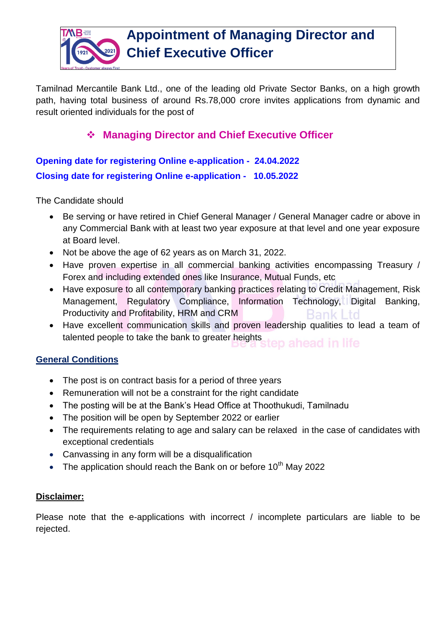

Tamilnad Mercantile Bank Ltd., one of the leading old Private Sector Banks, on a high growth path, having total business of around Rs.78,000 crore invites applications from dynamic and result oriented individuals for the post of

## **Managing Director and Chief Executive Officer**

**Opening date for registering Online e-application - 24.04.2022 Closing date for registering Online e-application - 10.05.2022**

The Candidate should

- Be serving or have retired in Chief General Manager / General Manager cadre or above in any Commercial Bank with at least two year exposure at that level and one year exposure at Board level.
- Not be above the age of 62 years as on March 31, 2022.
- Have proven expertise in all commercial banking activities encompassing Treasury / Forex and including extended ones like Insurance, Mutual Funds, etc
- Have exposure to all contemporary banking practices relating to Credit Management, Risk Management, Regulatory Compliance, Information Technology, Digital Banking, Productivity and Profitability, HRM and CRM Bank
- Have excellent communication skills and proven leadership qualities to lead a team of talented people to take the bank to greater heights tep ahead in life

## **General Conditions**

- The post is on contract basis for a period of three years
- Remuneration will not be a constraint for the right candidate
- The posting will be at the Bank's Head Office at Thoothukudi, Tamilnadu
- The position will be open by September 2022 or earlier
- The requirements relating to age and salary can be relaxed in the case of candidates with exceptional credentials
- Canvassing in any form will be a disqualification
- The application should reach the Bank on or before  $10<sup>th</sup>$  May 2022

## **Disclaimer:**

Please note that the e-applications with incorrect / incomplete particulars are liable to be rejected.